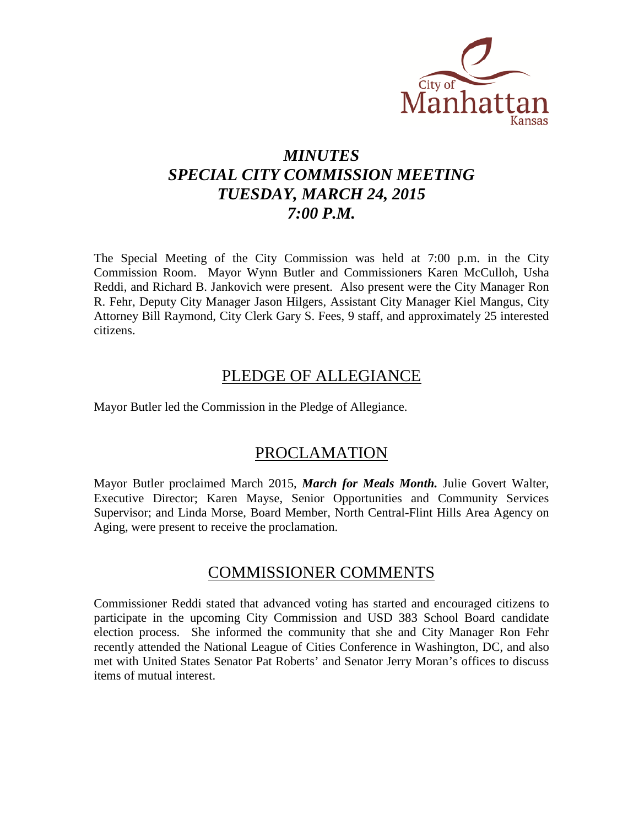

# *MINUTES SPECIAL CITY COMMISSION MEETING TUESDAY, MARCH 24, 2015 7:00 P.M.*

The Special Meeting of the City Commission was held at 7:00 p.m. in the City Commission Room. Mayor Wynn Butler and Commissioners Karen McCulloh, Usha Reddi, and Richard B. Jankovich were present. Also present were the City Manager Ron R. Fehr, Deputy City Manager Jason Hilgers, Assistant City Manager Kiel Mangus, City Attorney Bill Raymond, City Clerk Gary S. Fees, 9 staff, and approximately 25 interested citizens.

## PLEDGE OF ALLEGIANCE

Mayor Butler led the Commission in the Pledge of Allegiance.

## PROCLAMATION

Mayor Butler proclaimed March 2015, *March for Meals Month.* Julie Govert Walter, Executive Director; Karen Mayse, Senior Opportunities and Community Services Supervisor; and Linda Morse, Board Member, North Central-Flint Hills Area Agency on Aging, were present to receive the proclamation.

## COMMISSIONER COMMENTS

Commissioner Reddi stated that advanced voting has started and encouraged citizens to participate in the upcoming City Commission and USD 383 School Board candidate election process. She informed the community that she and City Manager Ron Fehr recently attended the National League of Cities Conference in Washington, DC, and also met with United States Senator Pat Roberts' and Senator Jerry Moran's offices to discuss items of mutual interest.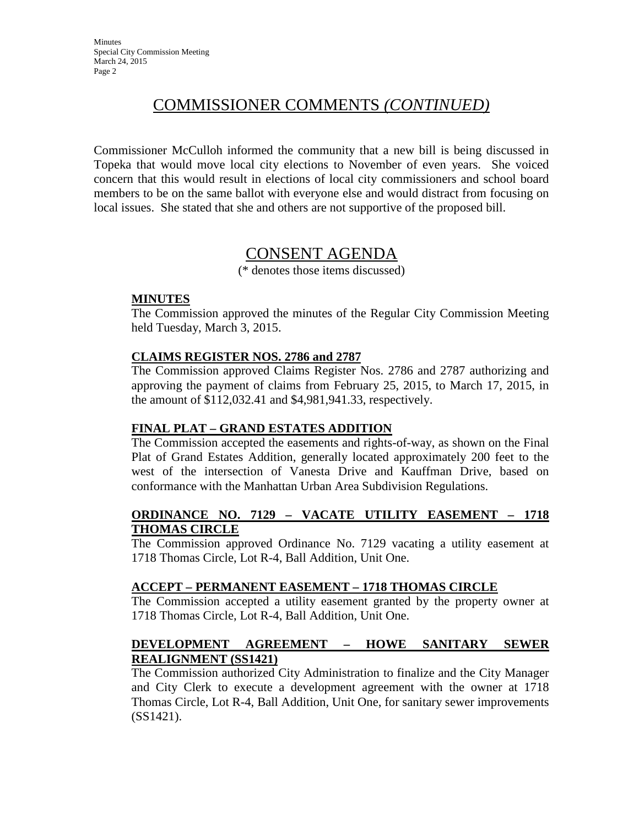## COMMISSIONER COMMENTS *(CONTINUED)*

Commissioner McCulloh informed the community that a new bill is being discussed in Topeka that would move local city elections to November of even years. She voiced concern that this would result in elections of local city commissioners and school board members to be on the same ballot with everyone else and would distract from focusing on local issues. She stated that she and others are not supportive of the proposed bill.

## CONSENT AGENDA

(\* denotes those items discussed)

#### **MINUTES**

The Commission approved the minutes of the Regular City Commission Meeting held Tuesday, March 3, 2015.

### **CLAIMS REGISTER NOS. 2786 and 2787**

The Commission approved Claims Register Nos. 2786 and 2787 authorizing and approving the payment of claims from February 25, 2015, to March 17, 2015, in the amount of \$112,032.41 and \$4,981,941.33, respectively.

### **FINAL PLAT – GRAND ESTATES ADDITION**

The Commission accepted the easements and rights-of-way, as shown on the Final Plat of Grand Estates Addition, generally located approximately 200 feet to the west of the intersection of Vanesta Drive and Kauffman Drive, based on conformance with the Manhattan Urban Area Subdivision Regulations.

#### **ORDINANCE NO. 7129 – VACATE UTILITY EASEMENT – 1718 THOMAS CIRCLE**

The Commission approved Ordinance No. 7129 vacating a utility easement at 1718 Thomas Circle, Lot R-4, Ball Addition, Unit One.

### **ACCEPT – PERMANENT EASEMENT – 1718 THOMAS CIRCLE**

The Commission accepted a utility easement granted by the property owner at 1718 Thomas Circle, Lot R-4, Ball Addition, Unit One.

### **DEVELOPMENT AGREEMENT – HOWE SANITARY SEWER REALIGNMENT (SS1421)**

The Commission authorized City Administration to finalize and the City Manager and City Clerk to execute a development agreement with the owner at 1718 Thomas Circle, Lot R-4, Ball Addition, Unit One, for sanitary sewer improvements (SS1421).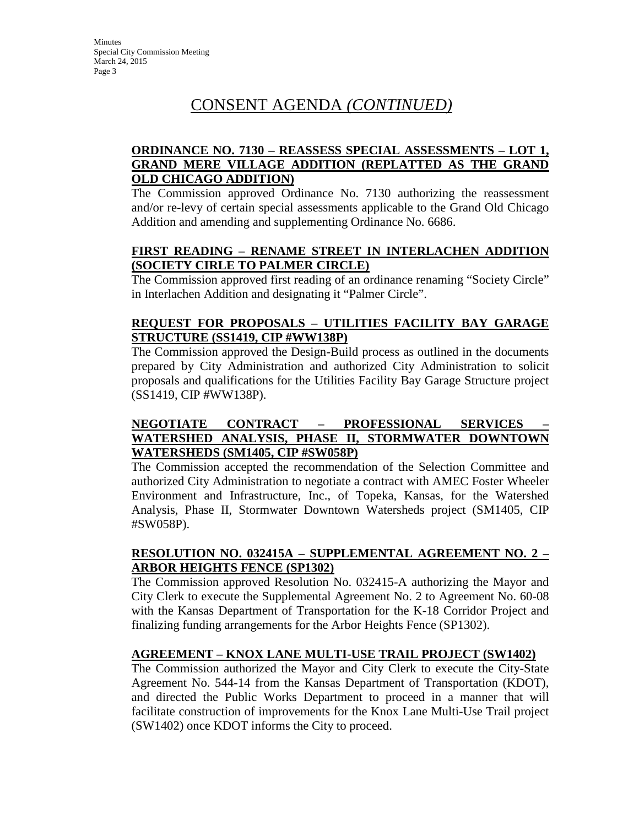# CONSENT AGENDA *(CONTINUED)*

### **ORDINANCE NO. 7130 – REASSESS SPECIAL ASSESSMENTS – LOT 1, GRAND MERE VILLAGE ADDITION (REPLATTED AS THE GRAND OLD CHICAGO ADDITION)**

The Commission approved Ordinance No. 7130 authorizing the reassessment and/or re-levy of certain special assessments applicable to the Grand Old Chicago Addition and amending and supplementing Ordinance No. 6686.

### **FIRST READING – RENAME STREET IN INTERLACHEN ADDITION (SOCIETY CIRLE TO PALMER CIRCLE)**

The Commission approved first reading of an ordinance renaming "Society Circle" in Interlachen Addition and designating it "Palmer Circle".

### **REQUEST FOR PROPOSALS – UTILITIES FACILITY BAY GARAGE STRUCTURE (SS1419, CIP #WW138P)**

The Commission approved the Design-Build process as outlined in the documents prepared by City Administration and authorized City Administration to solicit proposals and qualifications for the Utilities Facility Bay Garage Structure project (SS1419, CIP #WW138P).

### **NEGOTIATE CONTRACT – PROFESSIONAL SERVICES – WATERSHED ANALYSIS, PHASE II, STORMWATER DOWNTOWN WATERSHEDS (SM1405, CIP #SW058P)**

The Commission accepted the recommendation of the Selection Committee and authorized City Administration to negotiate a contract with AMEC Foster Wheeler Environment and Infrastructure, Inc., of Topeka, Kansas, for the Watershed Analysis, Phase II, Stormwater Downtown Watersheds project (SM1405, CIP #SW058P).

### **RESOLUTION NO. 032415A – SUPPLEMENTAL AGREEMENT NO. 2 – ARBOR HEIGHTS FENCE (SP1302)**

The Commission approved Resolution No. 032415-A authorizing the Mayor and City Clerk to execute the Supplemental Agreement No. 2 to Agreement No. 60-08 with the Kansas Department of Transportation for the K-18 Corridor Project and finalizing funding arrangements for the Arbor Heights Fence (SP1302).

### **AGREEMENT – KNOX LANE MULTI-USE TRAIL PROJECT (SW1402)**

The Commission authorized the Mayor and City Clerk to execute the City-State Agreement No. 544-14 from the Kansas Department of Transportation (KDOT), and directed the Public Works Department to proceed in a manner that will facilitate construction of improvements for the Knox Lane Multi-Use Trail project (SW1402) once KDOT informs the City to proceed.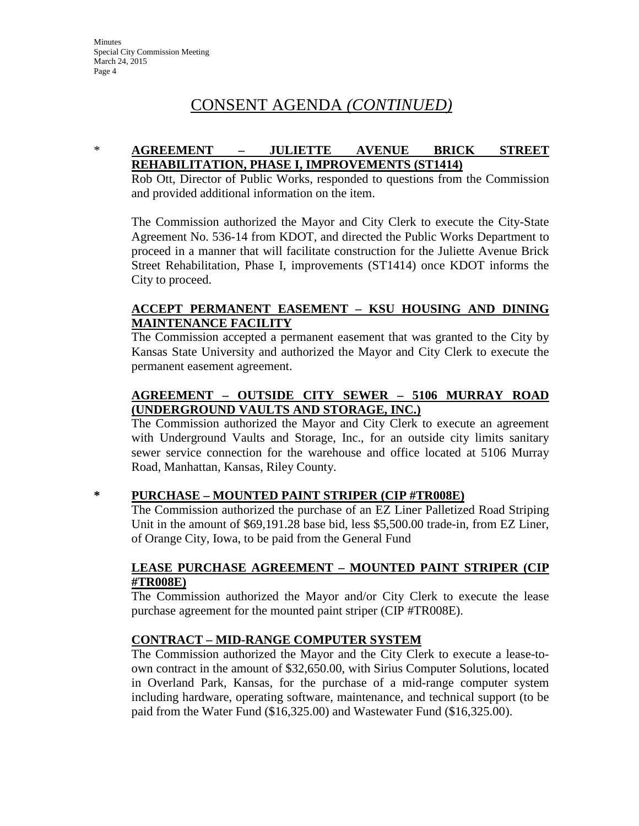# CONSENT AGENDA *(CONTINUED)*

### \* **AGREEMENT – JULIETTE AVENUE BRICK STREET REHABILITATION, PHASE I, IMPROVEMENTS (ST1414)**

Rob Ott, Director of Public Works, responded to questions from the Commission and provided additional information on the item.

The Commission authorized the Mayor and City Clerk to execute the City-State Agreement No. 536-14 from KDOT, and directed the Public Works Department to proceed in a manner that will facilitate construction for the Juliette Avenue Brick Street Rehabilitation, Phase I, improvements (ST1414) once KDOT informs the City to proceed.

### **ACCEPT PERMANENT EASEMENT – KSU HOUSING AND DINING MAINTENANCE FACILITY**

The Commission accepted a permanent easement that was granted to the City by Kansas State University and authorized the Mayor and City Clerk to execute the permanent easement agreement.

### **AGREEMENT – OUTSIDE CITY SEWER – 5106 MURRAY ROAD (UNDERGROUND VAULTS AND STORAGE, INC.)**

The Commission authorized the Mayor and City Clerk to execute an agreement with Underground Vaults and Storage, Inc., for an outside city limits sanitary sewer service connection for the warehouse and office located at 5106 Murray Road, Manhattan, Kansas, Riley County.

### **\* PURCHASE – MOUNTED PAINT STRIPER (CIP #TR008E)**

The Commission authorized the purchase of an EZ Liner Palletized Road Striping Unit in the amount of \$69,191.28 base bid, less \$5,500.00 trade-in, from EZ Liner, of Orange City, Iowa, to be paid from the General Fund

#### **LEASE PURCHASE AGREEMENT – MOUNTED PAINT STRIPER (CIP #TR008E)**

The Commission authorized the Mayor and/or City Clerk to execute the lease purchase agreement for the mounted paint striper (CIP #TR008E).

### **CONTRACT – MID-RANGE COMPUTER SYSTEM**

The Commission authorized the Mayor and the City Clerk to execute a lease-toown contract in the amount of \$32,650.00, with Sirius Computer Solutions, located in Overland Park, Kansas, for the purchase of a mid-range computer system including hardware, operating software, maintenance, and technical support (to be paid from the Water Fund (\$16,325.00) and Wastewater Fund (\$16,325.00).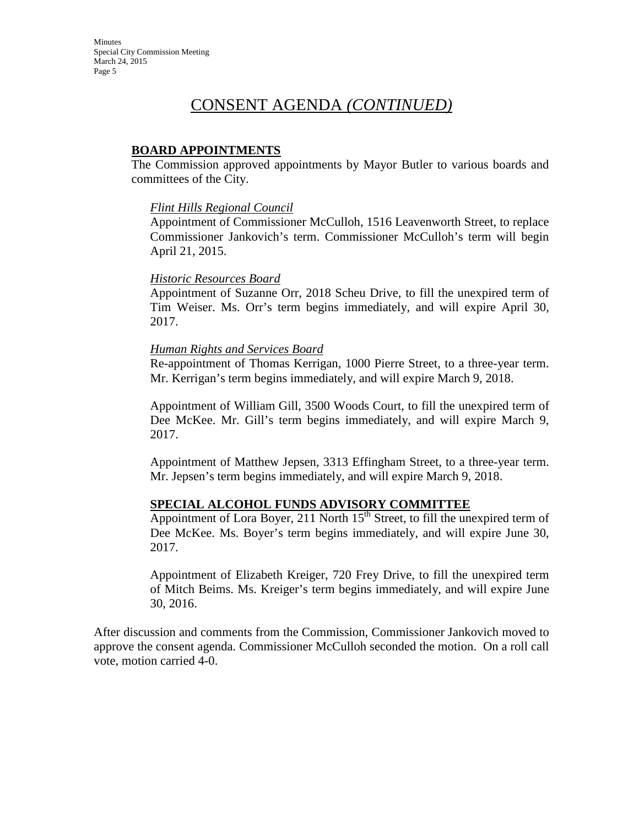## CONSENT AGENDA *(CONTINUED)*

#### **BOARD APPOINTMENTS**

The Commission approved appointments by Mayor Butler to various boards and committees of the City.

#### *Flint Hills Regional Council*

Appointment of Commissioner McCulloh, 1516 Leavenworth Street, to replace Commissioner Jankovich's term. Commissioner McCulloh's term will begin April 21, 2015.

#### *Historic Resources Board*

Appointment of Suzanne Orr, 2018 Scheu Drive, to fill the unexpired term of Tim Weiser. Ms. Orr's term begins immediately, and will expire April 30, 2017.

#### *Human Rights and Services Board*

Re-appointment of Thomas Kerrigan, 1000 Pierre Street, to a three-year term. Mr. Kerrigan's term begins immediately, and will expire March 9, 2018.

Appointment of William Gill, 3500 Woods Court, to fill the unexpired term of Dee McKee. Mr. Gill's term begins immediately, and will expire March 9, 2017.

Appointment of Matthew Jepsen, 3313 Effingham Street, to a three-year term. Mr. Jepsen's term begins immediately, and will expire March 9, 2018.

#### **SPECIAL ALCOHOL FUNDS ADVISORY COMMITTEE**

Appointment of Lora Boyer, 211 North  $15<sup>th</sup>$  Street, to fill the unexpired term of Dee McKee. Ms. Boyer's term begins immediately, and will expire June 30, 2017.

Appointment of Elizabeth Kreiger, 720 Frey Drive, to fill the unexpired term of Mitch Beims. Ms. Kreiger's term begins immediately, and will expire June 30, 2016.

After discussion and comments from the Commission, Commissioner Jankovich moved to approve the consent agenda. Commissioner McCulloh seconded the motion. On a roll call vote, motion carried 4-0.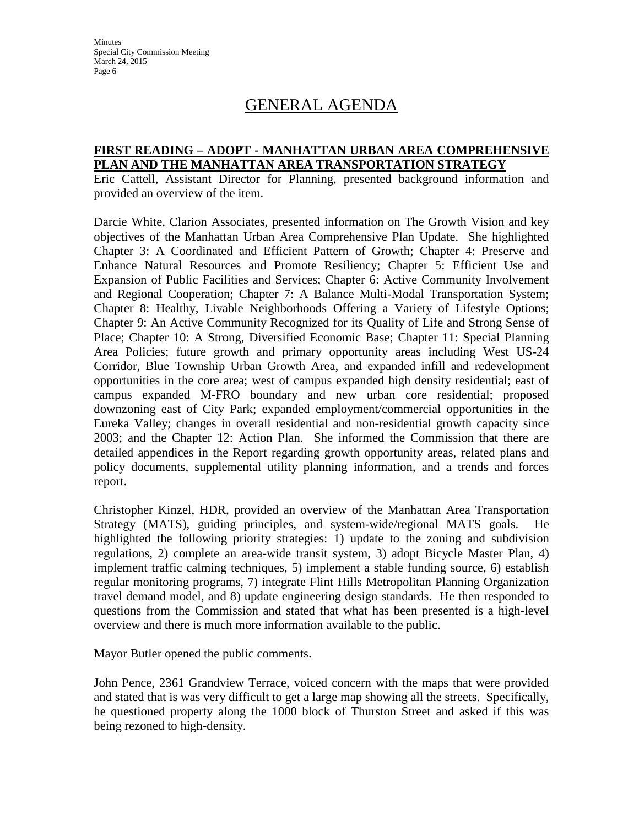**Minutes** Special City Commission Meeting March 24, 2015 Page 6

## GENERAL AGENDA

#### **FIRST READING – ADOPT - MANHATTAN URBAN AREA COMPREHENSIVE PLAN AND THE MANHATTAN AREA TRANSPORTATION STRATEGY**

Eric Cattell, Assistant Director for Planning, presented background information and provided an overview of the item.

Darcie White, Clarion Associates, presented information on The Growth Vision and key objectives of the Manhattan Urban Area Comprehensive Plan Update. She highlighted Chapter 3: A Coordinated and Efficient Pattern of Growth; Chapter 4: Preserve and Enhance Natural Resources and Promote Resiliency; Chapter 5: Efficient Use and Expansion of Public Facilities and Services; Chapter 6: Active Community Involvement and Regional Cooperation; Chapter 7: A Balance Multi-Modal Transportation System; Chapter 8: Healthy, Livable Neighborhoods Offering a Variety of Lifestyle Options; Chapter 9: An Active Community Recognized for its Quality of Life and Strong Sense of Place; Chapter 10: A Strong, Diversified Economic Base; Chapter 11: Special Planning Area Policies; future growth and primary opportunity areas including West US-24 Corridor, Blue Township Urban Growth Area, and expanded infill and redevelopment opportunities in the core area; west of campus expanded high density residential; east of campus expanded M-FRO boundary and new urban core residential; proposed downzoning east of City Park; expanded employment/commercial opportunities in the Eureka Valley; changes in overall residential and non-residential growth capacity since 2003; and the Chapter 12: Action Plan. She informed the Commission that there are detailed appendices in the Report regarding growth opportunity areas, related plans and policy documents, supplemental utility planning information, and a trends and forces report.

Christopher Kinzel, HDR, provided an overview of the Manhattan Area Transportation Strategy (MATS), guiding principles, and system-wide/regional MATS goals. He highlighted the following priority strategies: 1) update to the zoning and subdivision regulations, 2) complete an area-wide transit system, 3) adopt Bicycle Master Plan, 4) implement traffic calming techniques, 5) implement a stable funding source, 6) establish regular monitoring programs, 7) integrate Flint Hills Metropolitan Planning Organization travel demand model, and 8) update engineering design standards. He then responded to questions from the Commission and stated that what has been presented is a high-level overview and there is much more information available to the public.

Mayor Butler opened the public comments.

John Pence, 2361 Grandview Terrace, voiced concern with the maps that were provided and stated that is was very difficult to get a large map showing all the streets. Specifically, he questioned property along the 1000 block of Thurston Street and asked if this was being rezoned to high-density.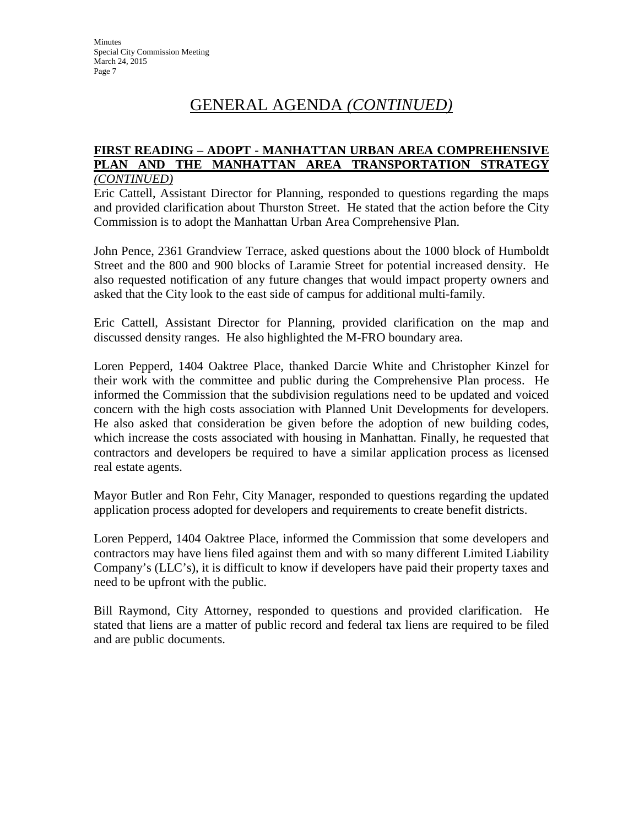#### **FIRST READING – ADOPT - MANHATTAN URBAN AREA COMPREHENSIVE PLAN AND THE MANHATTAN AREA TRANSPORTATION STRATEGY** *(CONTINUED)*

Eric Cattell, Assistant Director for Planning, responded to questions regarding the maps and provided clarification about Thurston Street. He stated that the action before the City Commission is to adopt the Manhattan Urban Area Comprehensive Plan.

John Pence, 2361 Grandview Terrace, asked questions about the 1000 block of Humboldt Street and the 800 and 900 blocks of Laramie Street for potential increased density. He also requested notification of any future changes that would impact property owners and asked that the City look to the east side of campus for additional multi-family.

Eric Cattell, Assistant Director for Planning, provided clarification on the map and discussed density ranges. He also highlighted the M-FRO boundary area.

Loren Pepperd, 1404 Oaktree Place, thanked Darcie White and Christopher Kinzel for their work with the committee and public during the Comprehensive Plan process. He informed the Commission that the subdivision regulations need to be updated and voiced concern with the high costs association with Planned Unit Developments for developers. He also asked that consideration be given before the adoption of new building codes, which increase the costs associated with housing in Manhattan. Finally, he requested that contractors and developers be required to have a similar application process as licensed real estate agents.

Mayor Butler and Ron Fehr, City Manager, responded to questions regarding the updated application process adopted for developers and requirements to create benefit districts.

Loren Pepperd, 1404 Oaktree Place, informed the Commission that some developers and contractors may have liens filed against them and with so many different Limited Liability Company's (LLC's), it is difficult to know if developers have paid their property taxes and need to be upfront with the public.

Bill Raymond, City Attorney, responded to questions and provided clarification. He stated that liens are a matter of public record and federal tax liens are required to be filed and are public documents.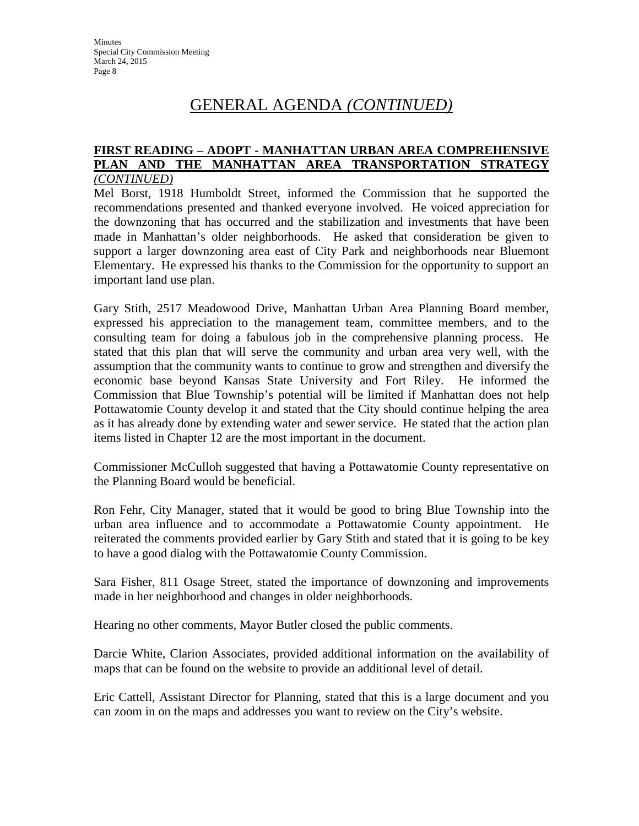#### **FIRST READING – ADOPT - MANHATTAN URBAN AREA COMPREHENSIVE PLAN AND THE MANHATTAN AREA TRANSPORTATION STRATEGY** *(CONTINUED)*

Mel Borst, 1918 Humboldt Street, informed the Commission that he supported the recommendations presented and thanked everyone involved. He voiced appreciation for the downzoning that has occurred and the stabilization and investments that have been made in Manhattan's older neighborhoods. He asked that consideration be given to support a larger downzoning area east of City Park and neighborhoods near Bluemont Elementary. He expressed his thanks to the Commission for the opportunity to support an important land use plan.

Gary Stith, 2517 Meadowood Drive, Manhattan Urban Area Planning Board member, expressed his appreciation to the management team, committee members, and to the consulting team for doing a fabulous job in the comprehensive planning process. He stated that this plan that will serve the community and urban area very well, with the assumption that the community wants to continue to grow and strengthen and diversify the economic base beyond Kansas State University and Fort Riley. He informed the Commission that Blue Township's potential will be limited if Manhattan does not help Pottawatomie County develop it and stated that the City should continue helping the area as it has already done by extending water and sewer service. He stated that the action plan items listed in Chapter 12 are the most important in the document.

Commissioner McCulloh suggested that having a Pottawatomie County representative on the Planning Board would be beneficial.

Ron Fehr, City Manager, stated that it would be good to bring Blue Township into the urban area influence and to accommodate a Pottawatomie County appointment. He reiterated the comments provided earlier by Gary Stith and stated that it is going to be key to have a good dialog with the Pottawatomie County Commission.

Sara Fisher, 811 Osage Street, stated the importance of downzoning and improvements made in her neighborhood and changes in older neighborhoods.

Hearing no other comments, Mayor Butler closed the public comments.

Darcie White, Clarion Associates, provided additional information on the availability of maps that can be found on the website to provide an additional level of detail.

Eric Cattell, Assistant Director for Planning, stated that this is a large document and you can zoom in on the maps and addresses you want to review on the City's website.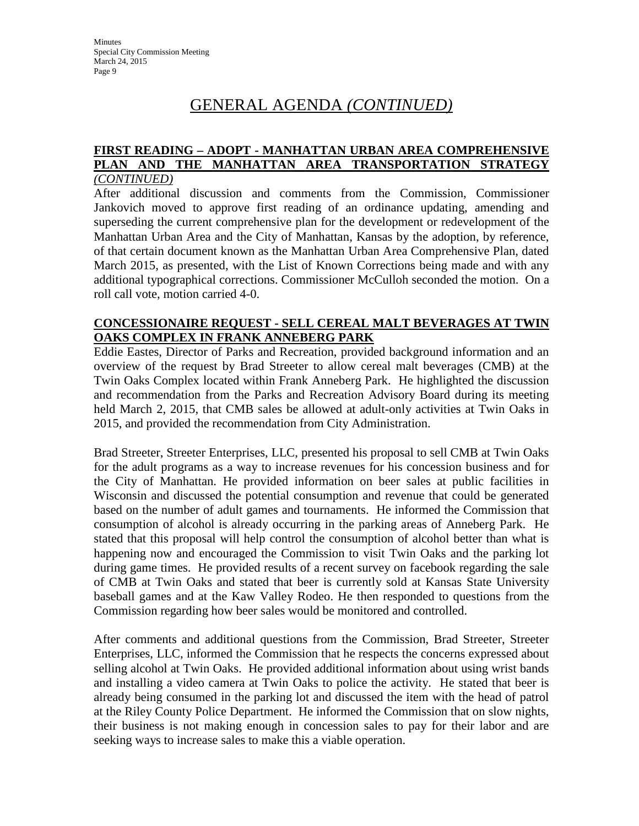#### **FIRST READING – ADOPT - MANHATTAN URBAN AREA COMPREHENSIVE PLAN AND THE MANHATTAN AREA TRANSPORTATION STRATEGY** *(CONTINUED)*

After additional discussion and comments from the Commission, Commissioner Jankovich moved to approve first reading of an ordinance updating, amending and superseding the current comprehensive plan for the development or redevelopment of the Manhattan Urban Area and the City of Manhattan, Kansas by the adoption, by reference, of that certain document known as the Manhattan Urban Area Comprehensive Plan, dated March 2015, as presented, with the List of Known Corrections being made and with any additional typographical corrections. Commissioner McCulloh seconded the motion. On a roll call vote, motion carried 4-0.

#### **CONCESSIONAIRE REQUEST - SELL CEREAL MALT BEVERAGES AT TWIN OAKS COMPLEX IN FRANK ANNEBERG PARK**

Eddie Eastes, Director of Parks and Recreation, provided background information and an overview of the request by Brad Streeter to allow cereal malt beverages (CMB) at the Twin Oaks Complex located within Frank Anneberg Park. He highlighted the discussion and recommendation from the Parks and Recreation Advisory Board during its meeting held March 2, 2015, that CMB sales be allowed at adult-only activities at Twin Oaks in 2015, and provided the recommendation from City Administration.

Brad Streeter, Streeter Enterprises, LLC, presented his proposal to sell CMB at Twin Oaks for the adult programs as a way to increase revenues for his concession business and for the City of Manhattan. He provided information on beer sales at public facilities in Wisconsin and discussed the potential consumption and revenue that could be generated based on the number of adult games and tournaments. He informed the Commission that consumption of alcohol is already occurring in the parking areas of Anneberg Park. He stated that this proposal will help control the consumption of alcohol better than what is happening now and encouraged the Commission to visit Twin Oaks and the parking lot during game times. He provided results of a recent survey on facebook regarding the sale of CMB at Twin Oaks and stated that beer is currently sold at Kansas State University baseball games and at the Kaw Valley Rodeo. He then responded to questions from the Commission regarding how beer sales would be monitored and controlled.

After comments and additional questions from the Commission, Brad Streeter, Streeter Enterprises, LLC, informed the Commission that he respects the concerns expressed about selling alcohol at Twin Oaks. He provided additional information about using wrist bands and installing a video camera at Twin Oaks to police the activity. He stated that beer is already being consumed in the parking lot and discussed the item with the head of patrol at the Riley County Police Department. He informed the Commission that on slow nights, their business is not making enough in concession sales to pay for their labor and are seeking ways to increase sales to make this a viable operation.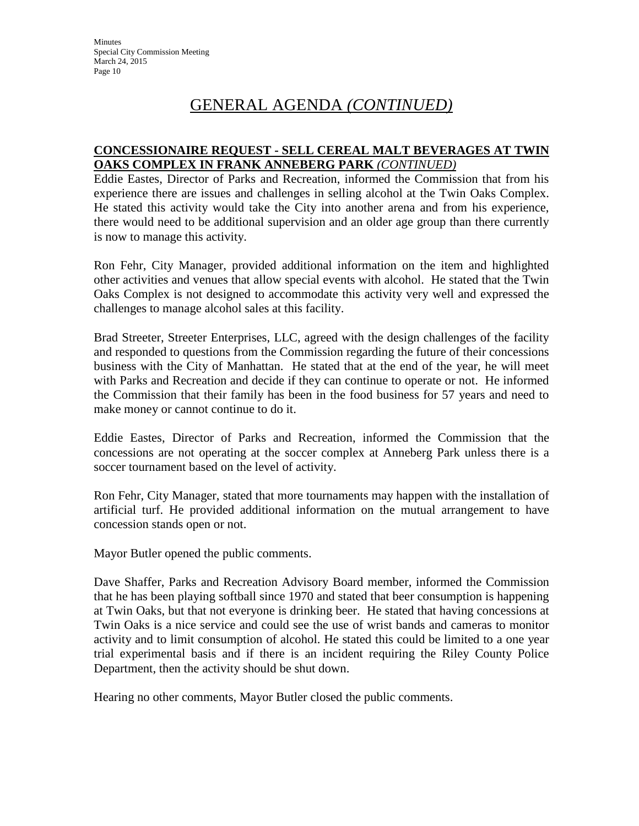#### **CONCESSIONAIRE REQUEST - SELL CEREAL MALT BEVERAGES AT TWIN OAKS COMPLEX IN FRANK ANNEBERG PARK** *(CONTINUED)*

Eddie Eastes, Director of Parks and Recreation, informed the Commission that from his experience there are issues and challenges in selling alcohol at the Twin Oaks Complex. He stated this activity would take the City into another arena and from his experience, there would need to be additional supervision and an older age group than there currently is now to manage this activity.

Ron Fehr, City Manager, provided additional information on the item and highlighted other activities and venues that allow special events with alcohol. He stated that the Twin Oaks Complex is not designed to accommodate this activity very well and expressed the challenges to manage alcohol sales at this facility.

Brad Streeter, Streeter Enterprises, LLC, agreed with the design challenges of the facility and responded to questions from the Commission regarding the future of their concessions business with the City of Manhattan. He stated that at the end of the year, he will meet with Parks and Recreation and decide if they can continue to operate or not. He informed the Commission that their family has been in the food business for 57 years and need to make money or cannot continue to do it.

Eddie Eastes, Director of Parks and Recreation, informed the Commission that the concessions are not operating at the soccer complex at Anneberg Park unless there is a soccer tournament based on the level of activity.

Ron Fehr, City Manager, stated that more tournaments may happen with the installation of artificial turf. He provided additional information on the mutual arrangement to have concession stands open or not.

Mayor Butler opened the public comments.

Dave Shaffer, Parks and Recreation Advisory Board member, informed the Commission that he has been playing softball since 1970 and stated that beer consumption is happening at Twin Oaks, but that not everyone is drinking beer. He stated that having concessions at Twin Oaks is a nice service and could see the use of wrist bands and cameras to monitor activity and to limit consumption of alcohol. He stated this could be limited to a one year trial experimental basis and if there is an incident requiring the Riley County Police Department, then the activity should be shut down.

Hearing no other comments, Mayor Butler closed the public comments.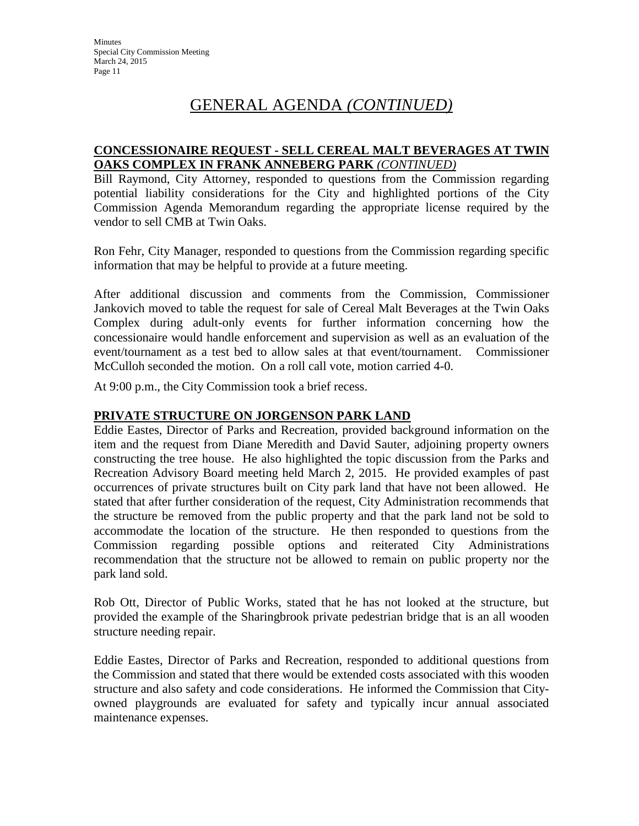#### **CONCESSIONAIRE REQUEST - SELL CEREAL MALT BEVERAGES AT TWIN OAKS COMPLEX IN FRANK ANNEBERG PARK** *(CONTINUED)*

Bill Raymond, City Attorney, responded to questions from the Commission regarding potential liability considerations for the City and highlighted portions of the City Commission Agenda Memorandum regarding the appropriate license required by the vendor to sell CMB at Twin Oaks.

Ron Fehr, City Manager, responded to questions from the Commission regarding specific information that may be helpful to provide at a future meeting.

After additional discussion and comments from the Commission, Commissioner Jankovich moved to table the request for sale of Cereal Malt Beverages at the Twin Oaks Complex during adult-only events for further information concerning how the concessionaire would handle enforcement and supervision as well as an evaluation of the event/tournament as a test bed to allow sales at that event/tournament. Commissioner McCulloh seconded the motion. On a roll call vote, motion carried 4-0.

At 9:00 p.m., the City Commission took a brief recess.

#### **PRIVATE STRUCTURE ON JORGENSON PARK LAND**

Eddie Eastes, Director of Parks and Recreation, provided background information on the item and the request from Diane Meredith and David Sauter, adjoining property owners constructing the tree house. He also highlighted the topic discussion from the Parks and Recreation Advisory Board meeting held March 2, 2015. He provided examples of past occurrences of private structures built on City park land that have not been allowed. He stated that after further consideration of the request, City Administration recommends that the structure be removed from the public property and that the park land not be sold to accommodate the location of the structure. He then responded to questions from the Commission regarding possible options and reiterated City Administrations recommendation that the structure not be allowed to remain on public property nor the park land sold.

Rob Ott, Director of Public Works, stated that he has not looked at the structure, but provided the example of the Sharingbrook private pedestrian bridge that is an all wooden structure needing repair.

Eddie Eastes, Director of Parks and Recreation, responded to additional questions from the Commission and stated that there would be extended costs associated with this wooden structure and also safety and code considerations. He informed the Commission that Cityowned playgrounds are evaluated for safety and typically incur annual associated maintenance expenses.